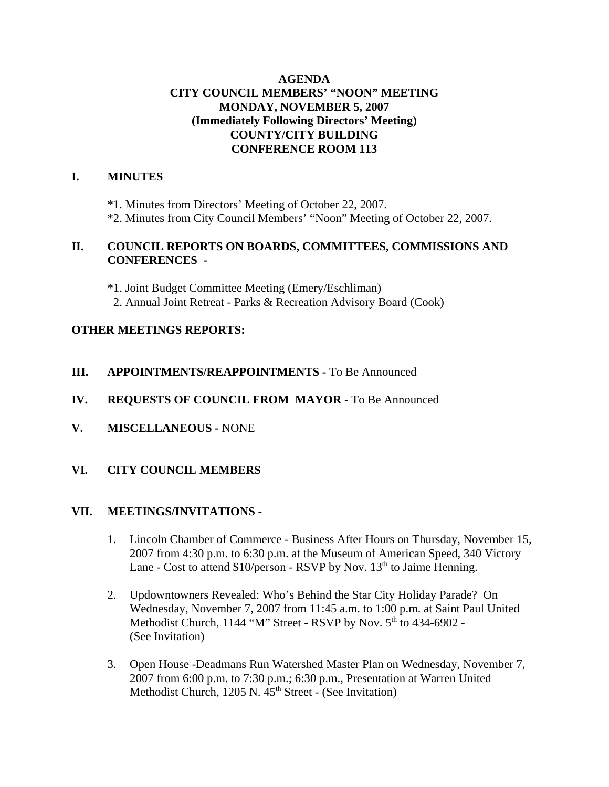# **AGENDA CITY COUNCIL MEMBERS' "NOON" MEETING MONDAY, NOVEMBER 5, 2007 (Immediately Following Directors' Meeting) COUNTY/CITY BUILDING CONFERENCE ROOM 113**

# **I. MINUTES**

\*1. Minutes from Directors' Meeting of October 22, 2007. \*2. Minutes from City Council Members' "Noon" Meeting of October 22, 2007.

# **II. COUNCIL REPORTS ON BOARDS, COMMITTEES, COMMISSIONS AND CONFERENCES -**

\*1. Joint Budget Committee Meeting (Emery/Eschliman) 2. Annual Joint Retreat - Parks & Recreation Advisory Board (Cook)

# **OTHER MEETINGS REPORTS:**

# **III.** APPOINTMENTS/REAPPOINTMENTS - To Be Announced

### **IV. REQUESTS OF COUNCIL FROM MAYOR -** To Be Announced

**V. MISCELLANEOUS -** NONE

#### **VI. CITY COUNCIL MEMBERS**

#### **VII. MEETINGS/INVITATIONS** -

- 1. Lincoln Chamber of Commerce Business After Hours on Thursday, November 15, 2007 from 4:30 p.m. to 6:30 p.m. at the Museum of American Speed, 340 Victory Lane - Cost to attend  $$10/person$  - RSVP by Nov.  $13<sup>th</sup>$  to Jaime Henning.
- 2. Updowntowners Revealed: Who's Behind the Star City Holiday Parade? On Wednesday, November 7, 2007 from 11:45 a.m. to 1:00 p.m. at Saint Paul United Methodist Church, 1144 "M" Street - RSVP by Nov. 5<sup>th</sup> to 434-6902 -(See Invitation)
- 3. Open House -Deadmans Run Watershed Master Plan on Wednesday, November 7, 2007 from 6:00 p.m. to 7:30 p.m.; 6:30 p.m., Presentation at Warren United Methodist Church,  $1205$  N.  $45<sup>th</sup>$  Street - (See Invitation)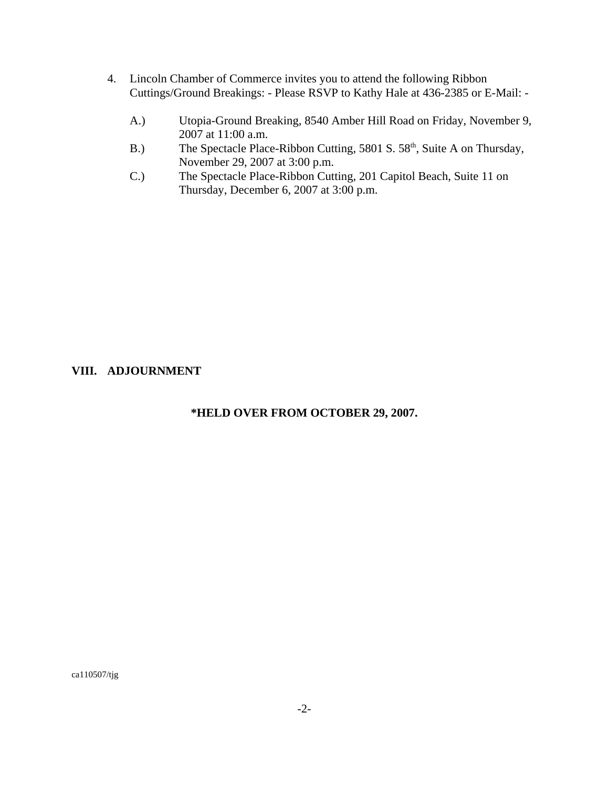- 4. Lincoln Chamber of Commerce invites you to attend the following Ribbon Cuttings/Ground Breakings: - Please RSVP to Kathy Hale at 436-2385 or E-Mail: -
	- A.) Utopia-Ground Breaking, 8540 Amber Hill Road on Friday, November 9, 2007 at 11:00 a.m.
	- B.) The Spectacle Place-Ribbon Cutting, 5801 S. 58<sup>th</sup>, Suite A on Thursday, November 29, 2007 at 3:00 p.m.
	- C.) The Spectacle Place-Ribbon Cutting, 201 Capitol Beach, Suite 11 on Thursday, December 6, 2007 at 3:00 p.m.

# **VIII. ADJOURNMENT**

# **\*HELD OVER FROM OCTOBER 29, 2007.**

ca110507/tjg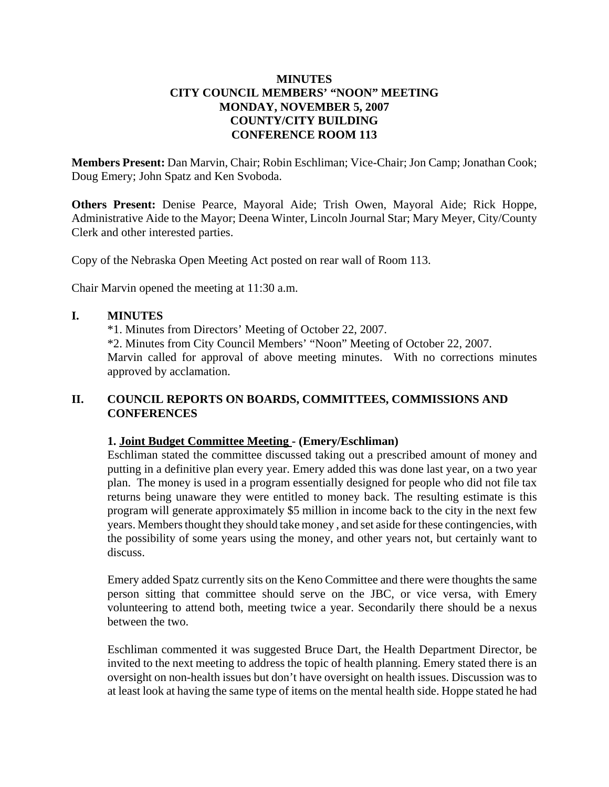# **MINUTES CITY COUNCIL MEMBERS' "NOON" MEETING MONDAY, NOVEMBER 5, 2007 COUNTY/CITY BUILDING CONFERENCE ROOM 113**

**Members Present:** Dan Marvin, Chair; Robin Eschliman; Vice-Chair; Jon Camp; Jonathan Cook; Doug Emery; John Spatz and Ken Svoboda.

**Others Present:** Denise Pearce, Mayoral Aide; Trish Owen, Mayoral Aide; Rick Hoppe, Administrative Aide to the Mayor; Deena Winter, Lincoln Journal Star; Mary Meyer, City/County Clerk and other interested parties.

Copy of the Nebraska Open Meeting Act posted on rear wall of Room 113.

Chair Marvin opened the meeting at 11:30 a.m.

# **I. MINUTES**

\*1. Minutes from Directors' Meeting of October 22, 2007.

\*2. Minutes from City Council Members' "Noon" Meeting of October 22, 2007.

Marvin called for approval of above meeting minutes. With no corrections minutes approved by acclamation.

# **II. COUNCIL REPORTS ON BOARDS, COMMITTEES, COMMISSIONS AND CONFERENCES**

#### **1. Joint Budget Committee Meeting - (Emery/Eschliman)**

Eschliman stated the committee discussed taking out a prescribed amount of money and putting in a definitive plan every year. Emery added this was done last year, on a two year plan. The money is used in a program essentially designed for people who did not file tax returns being unaware they were entitled to money back. The resulting estimate is this program will generate approximately \$5 million in income back to the city in the next few years. Members thought they should take money , and set aside for these contingencies, with the possibility of some years using the money, and other years not, but certainly want to discuss.

Emery added Spatz currently sits on the Keno Committee and there were thoughts the same person sitting that committee should serve on the JBC, or vice versa, with Emery volunteering to attend both, meeting twice a year. Secondarily there should be a nexus between the two.

Eschliman commented it was suggested Bruce Dart, the Health Department Director, be invited to the next meeting to address the topic of health planning. Emery stated there is an oversight on non-health issues but don't have oversight on health issues. Discussion was to at least look at having the same type of items on the mental health side. Hoppe stated he had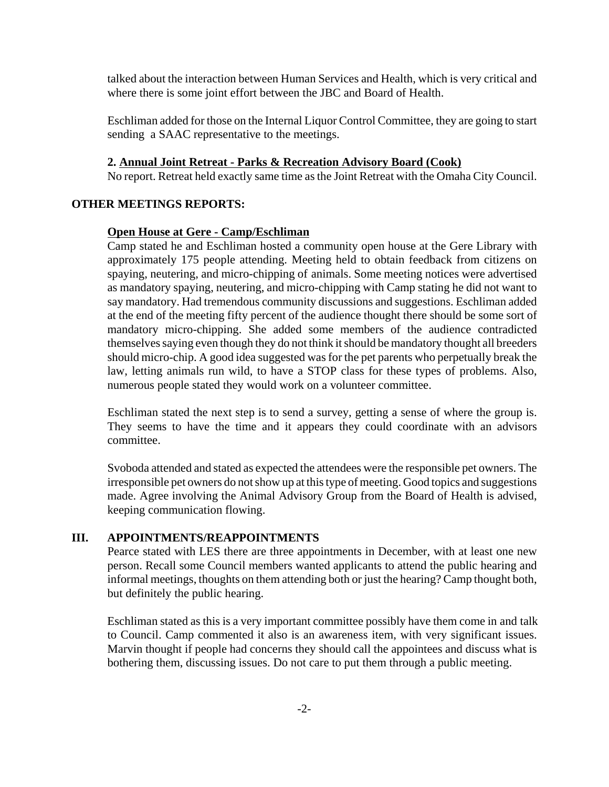talked about the interaction between Human Services and Health, which is very critical and where there is some joint effort between the JBC and Board of Health.

Eschliman added for those on the Internal Liquor Control Committee, they are going to start sending a SAAC representative to the meetings.

#### **2. Annual Joint Retreat - Parks & Recreation Advisory Board (Cook)**

No report. Retreat held exactly same time as the Joint Retreat with the Omaha City Council.

# **OTHER MEETINGS REPORTS:**

#### **Open House at Gere - Camp/Eschliman**

Camp stated he and Eschliman hosted a community open house at the Gere Library with approximately 175 people attending. Meeting held to obtain feedback from citizens on spaying, neutering, and micro-chipping of animals. Some meeting notices were advertised as mandatory spaying, neutering, and micro-chipping with Camp stating he did not want to say mandatory. Had tremendous community discussions and suggestions. Eschliman added at the end of the meeting fifty percent of the audience thought there should be some sort of mandatory micro-chipping. She added some members of the audience contradicted themselves saying even though they do not think it should be mandatory thought all breeders should micro-chip. A good idea suggested was for the pet parents who perpetually break the law, letting animals run wild, to have a STOP class for these types of problems. Also, numerous people stated they would work on a volunteer committee.

Eschliman stated the next step is to send a survey, getting a sense of where the group is. They seems to have the time and it appears they could coordinate with an advisors committee.

Svoboda attended and stated as expected the attendees were the responsible pet owners. The irresponsible pet owners do not show up at this type of meeting. Good topics and suggestions made. Agree involving the Animal Advisory Group from the Board of Health is advised, keeping communication flowing.

#### **III. APPOINTMENTS/REAPPOINTMENTS**

Pearce stated with LES there are three appointments in December, with at least one new person. Recall some Council members wanted applicants to attend the public hearing and informal meetings, thoughts on them attending both or just the hearing? Camp thought both, but definitely the public hearing.

 Eschliman stated as this is a very important committee possibly have them come in and talk to Council. Camp commented it also is an awareness item, with very significant issues. Marvin thought if people had concerns they should call the appointees and discuss what is bothering them, discussing issues. Do not care to put them through a public meeting.